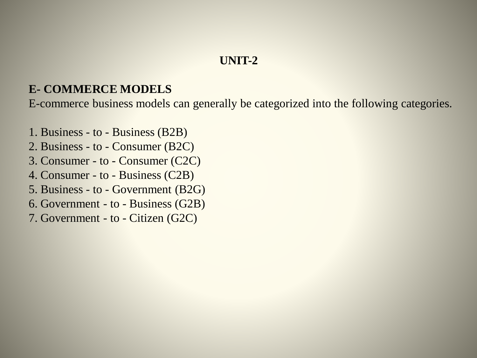## **UNIT-2**

### **E- COMMERCE MODELS**

E-commerce business models can generally be categorized into the following categories.

- 1. Business to Business (B2B)
- 2. Business to Consumer (B2C)
- 3. Consumer to Consumer (C2C)
- 4. Consumer to Business (C2B)
- 5. Business to Government (B2G)
- 6. Government to Business (G2B)
- 7. Government to Citizen (G2C)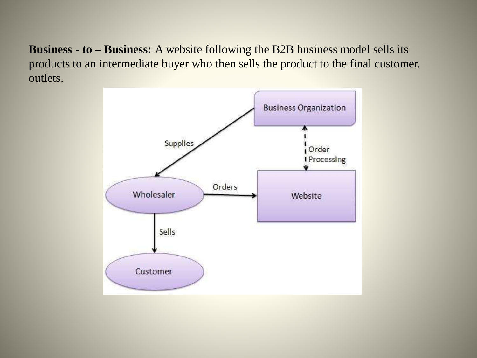**Business - to – Business:** A website following the B2B business model sells its products to an intermediate buyer who then sells the product to the final customer. outlets.

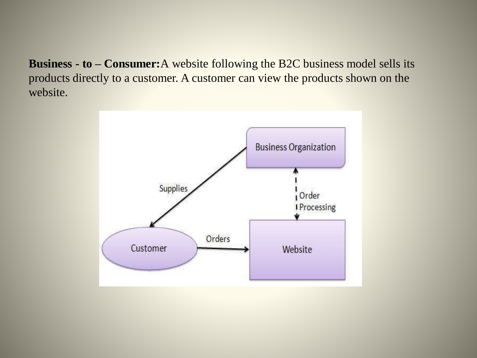**Business - to – Consumer:**A website following the B2C business model sells its products directly to a customer. A customer can view the products shown on the website.

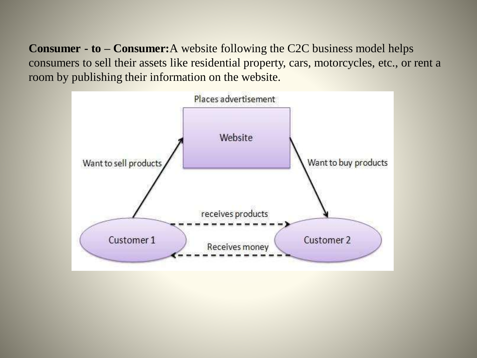**Consumer - to – Consumer:**A website following the C2C business model helps consumers to sell their assets like residential property, cars, motorcycles, etc., or rent a room by publishing their information on the website.

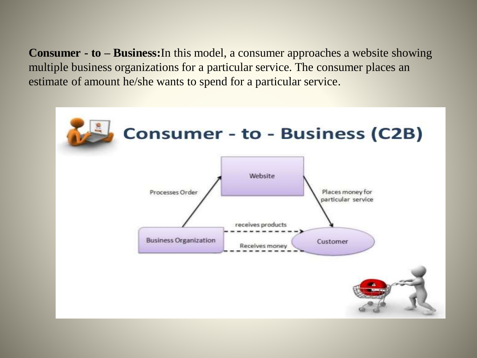**Consumer - to – Business:**In this model, a consumer approaches a website showing multiple business organizations for a particular service. The consumer places an estimate of amount he/she wants to spend for a particular service.

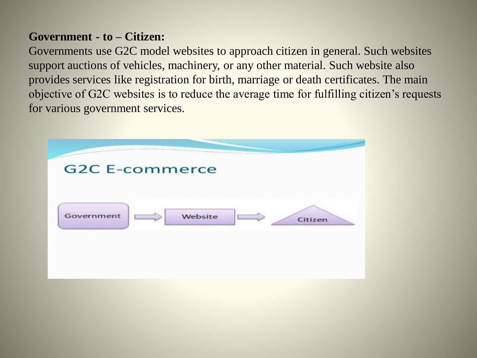### **Government - to – Citizen:**

Governments use G2C model websites to approach citizen in general. Such websites support auctions of vehicles, machinery, or any other material. Such website also provides services like registration for birth, marriage or death certificates. The main objective of G2C websites is to reduce the average time for fulfilling citizen's requests for various government services.

|            | <b>G2C E-commerce</b> |         |         |
|------------|-----------------------|---------|---------|
| Government |                       | Website | Citizen |
|            |                       |         |         |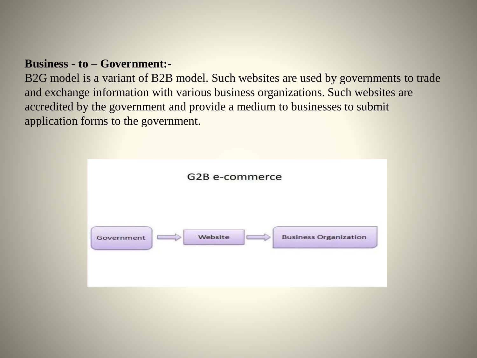### **Business - to – Government:-**

B2G model is a variant of B2B model. Such websites are used by governments to trade and exchange information with various business organizations. Such websites are accredited by the government and provide a medium to businesses to submit application forms to the government.

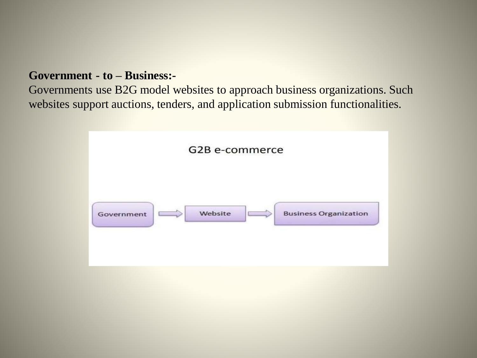#### **Government - to – Business:-**

Governments use B2G model websites to approach business organizations. Such websites support auctions, tenders, and application submission functionalities.

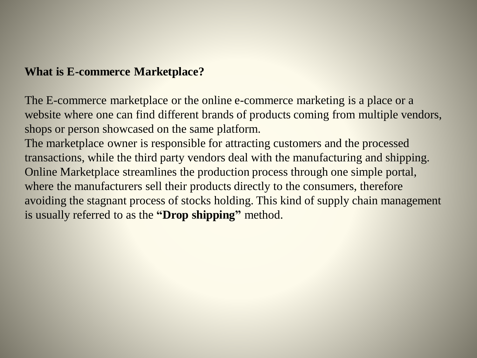## **What is E-commerce Marketplace?**

The E-commerce marketplace or the online e-commerce marketing is a place or a website where one can find different brands of products coming from multiple vendors, shops or person showcased on the same platform.

The marketplace owner is responsible for attracting customers and the processed transactions, while the third party vendors deal with the manufacturing and shipping. Online Marketplace streamlines the production process through one simple portal, where the manufacturers sell their products directly to the consumers, therefore avoiding the stagnant process of stocks holding. This kind of supply chain management is usually referred to as the **"Drop shipping"** method.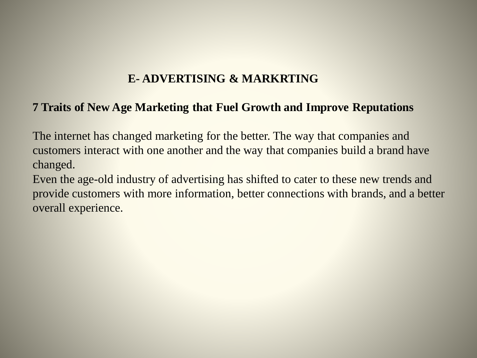## **E- ADVERTISING & MARKRTING**

### **7 Traits of New Age Marketing that Fuel Growth and Improve Reputations**

The internet has changed marketing for the better. The way that companies and customers interact with one another and the way that companies build a brand have changed.

Even the age-old industry of advertising has shifted to cater to these new trends and provide customers with more information, better connections with brands, and a better overall experience.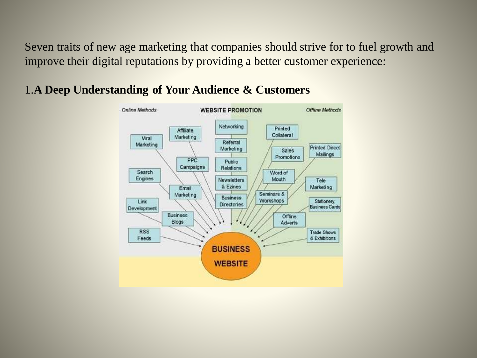Seven traits of new age marketing that companies should strive for to fuel growth and improve their digital reputations by providing a better customer experience:



## 1.**A Deep Understanding of Your Audience & Customers**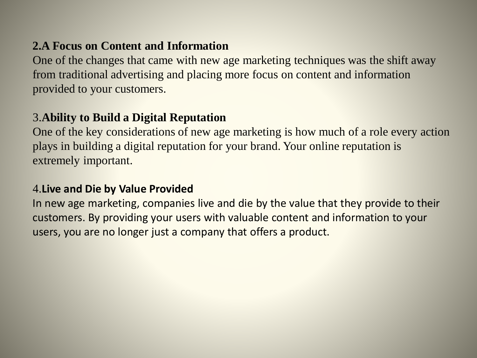## **2.A Focus on Content and Information**

One of the changes that came with new age marketing techniques was the shift away from traditional advertising and placing more focus on content and information provided to your customers.

## 3.**Ability to Build a Digital Reputation**

One of the key considerations of new age marketing is how much of a role every action plays in building a digital reputation for your brand. Your online reputation is extremely important.

### 4.**Live and Die by Value Provided**

In new age marketing, companies live and die by the value that they provide to their customers. By providing your users with valuable content and information to your users, you are no longer just a company that offers a product.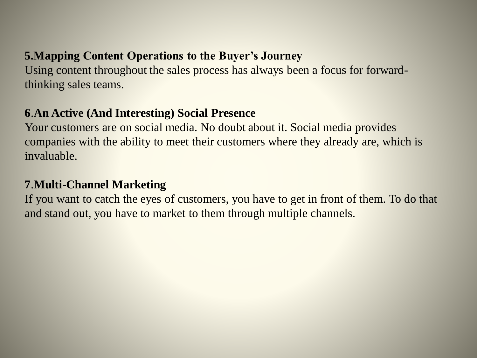# **5.Mapping Content Operations to the Buyer's Journey**

Using content throughout the sales process has always been a focus for forwardthinking sales teams.

## **6**.**An Active (And Interesting) Social Presence**

Your customers are on social media. No doubt about it. Social media provides companies with the ability to meet their customers where they already are, which is invaluable.

## **7**.**Multi-Channel Marketing**

If you want to catch the eyes of customers, you have to get in front of them. To do that and stand out, you have to market to them through multiple channels.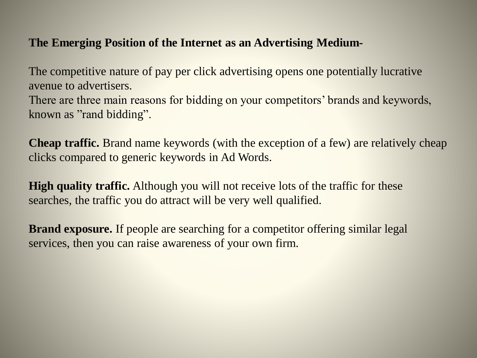### **The Emerging Position of the Internet as an Advertising Medium-**

The competitive nature of pay per click advertising opens one potentially lucrative avenue to advertisers.

There are three main reasons for bidding on your competitors' brands and keywords, known as "rand bidding".

**Cheap traffic.** Brand name keywords (with the exception of a few) are relatively cheap clicks compared to generic keywords in Ad Words.

**High quality traffic.** Although you will not receive lots of the traffic for these searches, the traffic you do attract will be very well qualified.

**Brand exposure.** If people are searching for a competitor offering similar legal services, then you can raise awareness of your own firm.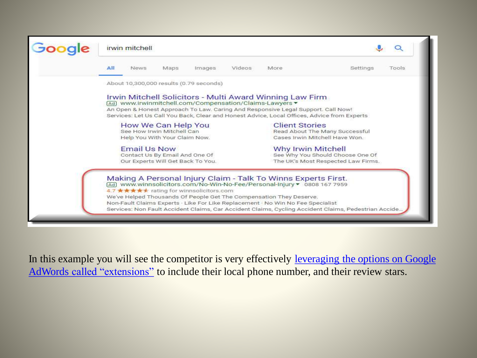

In this example you will see the competitor is very effectively leveraging the options on Google AdWords called "extensions" [to include their local phone number, and their review stars.](https://www.hallaminternet.com/5-ways-google-ad-extensions-can-improve-your-adwords-campaign/)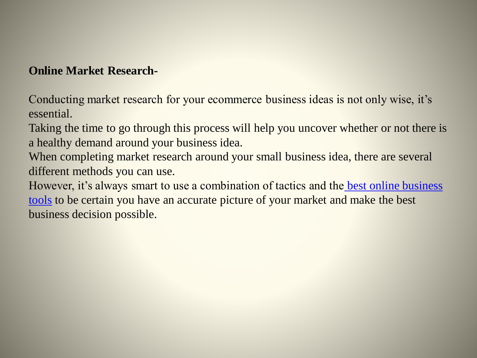### **Online Market Research-**

Conducting market research for your ecommerce business ideas is not only wise, it's essential.

Taking the time to go through this process will help you uncover whether or not there is a healthy demand around your business idea.

When completing market research around your small business idea, there are several different methods you can use.

However, it's always smart to use a combination of tactics and the best online business tools [to be certain you have an accurate picture of your market and make the best](https://workanywherenow.com/best-online-business-tools-i-use-and-recommend/)  business decision possible.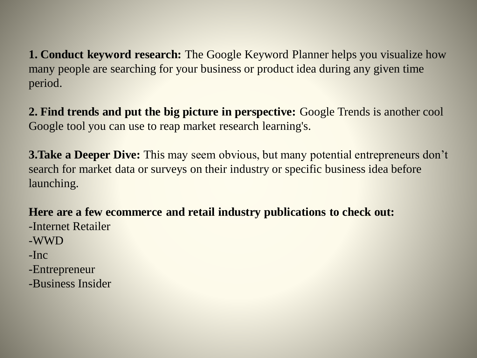**1. Conduct keyword research:** The Google Keyword Planner helps you visualize how many people are searching for your business or product idea during any given time period.

**2. Find trends and put the big picture in perspective:** Google Trends is another cool Google tool you can use to reap market research learning's.

**3. Take a Deeper Dive:** This may seem obvious, but many potential entrepreneurs don't search for market data or surveys on their industry or specific business idea before launching.

**Here are a few ecommerce and retail industry publications to check out:**

- -Internet Retailer
- -WWD
- -Inc
- -Entrepreneur
- -Business Insider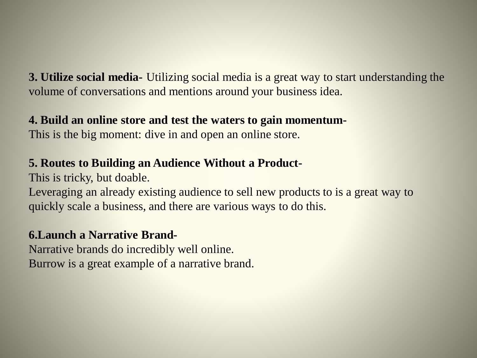**3. Utilize social media-** Utilizing social media is a great way to start understanding the volume of conversations and mentions around your business idea.

## **4. Build an online store and test the waters to gain momentum-**

This is the big moment: dive in and open an online store.

# **5. Routes to Building an Audience Without a Product-**

This is tricky, but doable.

Leveraging an already existing audience to sell new products to is a great way to quickly scale a business, and there are various ways to do this.

## **6.Launch a Narrative Brand-**

Narrative brands do incredibly well online. Burrow is a great example of a narrative brand.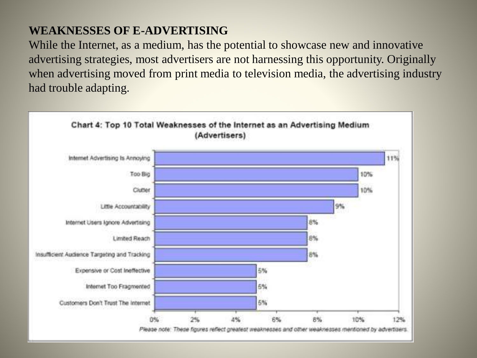# **WEAKNESSES OF E-ADVERTISING**

While the Internet, as a medium, has the potential to showcase new and innovative advertising strategies, most advertisers are not harnessing this opportunity. Originally when advertising moved from print media to television media, the advertising industry had trouble adapting.

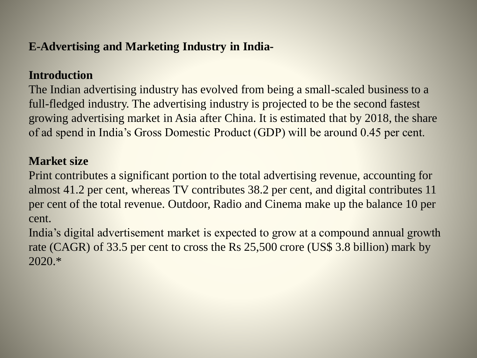# **E-Advertising and Marketing Industry in India-**

## **Introduction**

The Indian advertising industry has evolved from being a small-scaled business to a full-fledged industry. The advertising industry is projected to be the second fastest growing advertising market in Asia after China. It is estimated that by 2018, the share of ad spend in India's Gross Domestic Product (GDP) will be around 0.45 per cent.

#### **Market size**

Print contributes a significant portion to the total advertising revenue, accounting for almost 41.2 per cent, whereas TV contributes 38.2 per cent, and digital contributes 11 per cent of the total revenue. Outdoor, Radio and Cinema make up the balance 10 per cent.

India's digital advertisement market is expected to grow at a compound annual growth rate (CAGR) of 33.5 per cent to cross the Rs 25,500 crore (US\$ 3.8 billion) mark by 2020.\*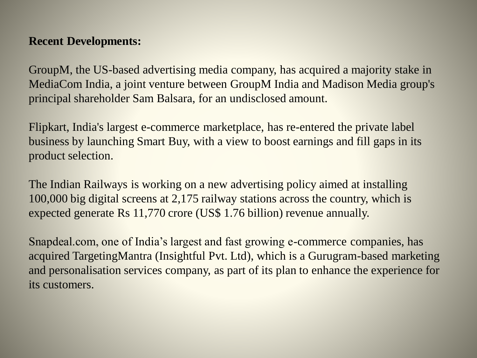### **Recent Developments:**

GroupM, the US-based advertising media company, has acquired a majority stake in MediaCom India, a joint venture between GroupM India and Madison Media group's principal shareholder Sam Balsara, for an undisclosed amount.

Flipkart, India's largest e-commerce marketplace, has re-entered the private label business by launching Smart Buy, with a view to boost earnings and fill gaps in its product selection.

The Indian Railways is working on a new advertising policy aimed at installing 100,000 big digital screens at 2,175 railway stations across the country, which is expected generate Rs 11,770 crore (US\$ 1.76 billion) revenue annually.

Snapdeal.com, one of India's largest and fast growing e-commerce companies, has acquired TargetingMantra (Insightful Pvt. Ltd), which is a Gurugram-based marketing and personalisation services company, as part of its plan to enhance the experience for its customers.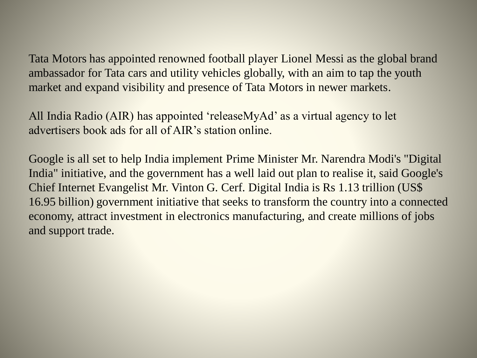Tata Motors has appointed renowned football player Lionel Messi as the global brand ambassador for Tata cars and utility vehicles globally, with an aim to tap the youth market and expand visibility and presence of Tata Motors in newer markets.

All India Radio (AIR) has appointed 'releaseMyAd' as a virtual agency to let advertisers book ads for all of AIR's station online.

Google is all set to help India implement Prime Minister Mr. Narendra Modi's "Digital India" initiative, and the government has a well laid out plan to realise it, said Google's Chief Internet Evangelist Mr. Vinton G. Cerf. Digital India is Rs 1.13 trillion (US\$ 16.95 billion) government initiative that seeks to transform the country into a connected economy, attract investment in electronics manufacturing, and create millions of jobs and support trade.